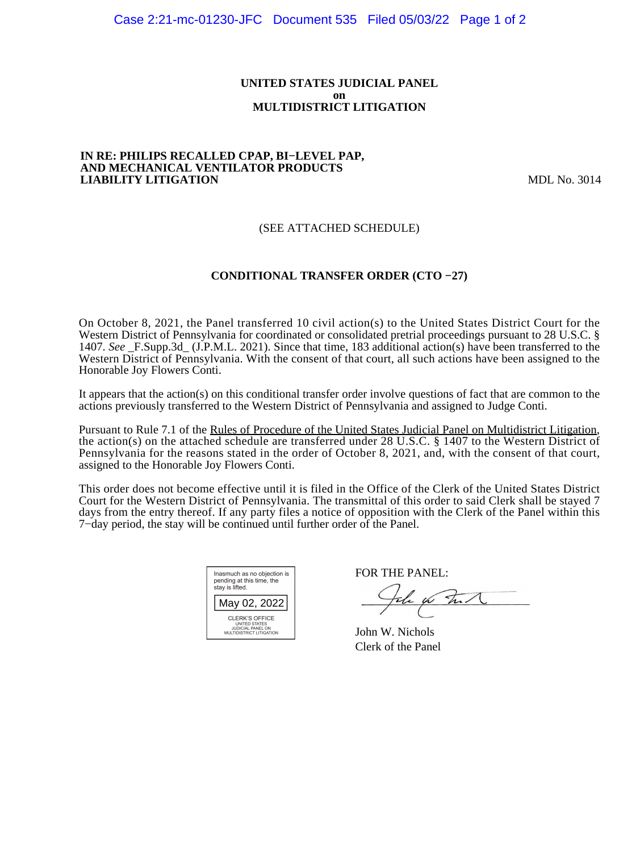#### **UNITED STATES JUDICIAL PANEL on MULTIDISTRICT LITIGATION**

#### **IN RE: PHILIPS RECALLED CPAP, BI−LEVEL PAP, AND MECHANICAL VENTILATOR PRODUCTS LIABILITY LITIGATION** MDL No. 3014

# (SEE ATTACHED SCHEDULE)

# **CONDITIONAL TRANSFER ORDER (CTO −27)**

On October 8, 2021, the Panel transferred 10 civil action(s) to the United States District Court for the Western District of Pennsylvania for coordinated or consolidated pretrial proceedings pursuant to 28 U.S.C. § 1407. *See* \_F.Supp.3d\_ (J.P.M.L. 2021). Since that time, 183 additional action(s) have been transferred to the Western District of Pennsylvania. With the consent of that court, all such actions have been assigned to the Honorable Joy Flowers Conti.

It appears that the action(s) on this conditional transfer order involve questions of fact that are common to the actions previously transferred to the Western District of Pennsylvania and assigned to Judge Conti.

Pursuant to Rule 7.1 of the Rules of Procedure of the United States Judicial Panel on Multidistrict Litigation, the action(s) on the attached schedule are transferred under 28 U.S.C. § 1407 to the Western District of Pennsylvania for the reasons stated in the order of October 8, 2021, and, with the consent of that court, assigned to the Honorable Joy Flowers Conti.

This order does not become effective until it is filed in the Office of the Clerk of the United States District Court for the Western District of Pennsylvania. The transmittal of this order to said Clerk shall be stayed 7 days from the entry thereof. If any party files a notice of opposition with the Clerk of the Panel within this 7−day period, the stay will be continued until further order of the Panel.

| Inasmuch as no objection is<br>pending at this time, the<br>stay is lifted.                           |  |  |  |
|-------------------------------------------------------------------------------------------------------|--|--|--|
| May 02, 2022                                                                                          |  |  |  |
| <b>CLERK'S OFFICE</b><br><b>UNITED STATES</b><br><b>JUDICIAL PANEL ON</b><br>MULTIDISTRICT LITIGATION |  |  |  |

FOR THE PANEL:

the for Int

John W. Nichols Clerk of the Panel